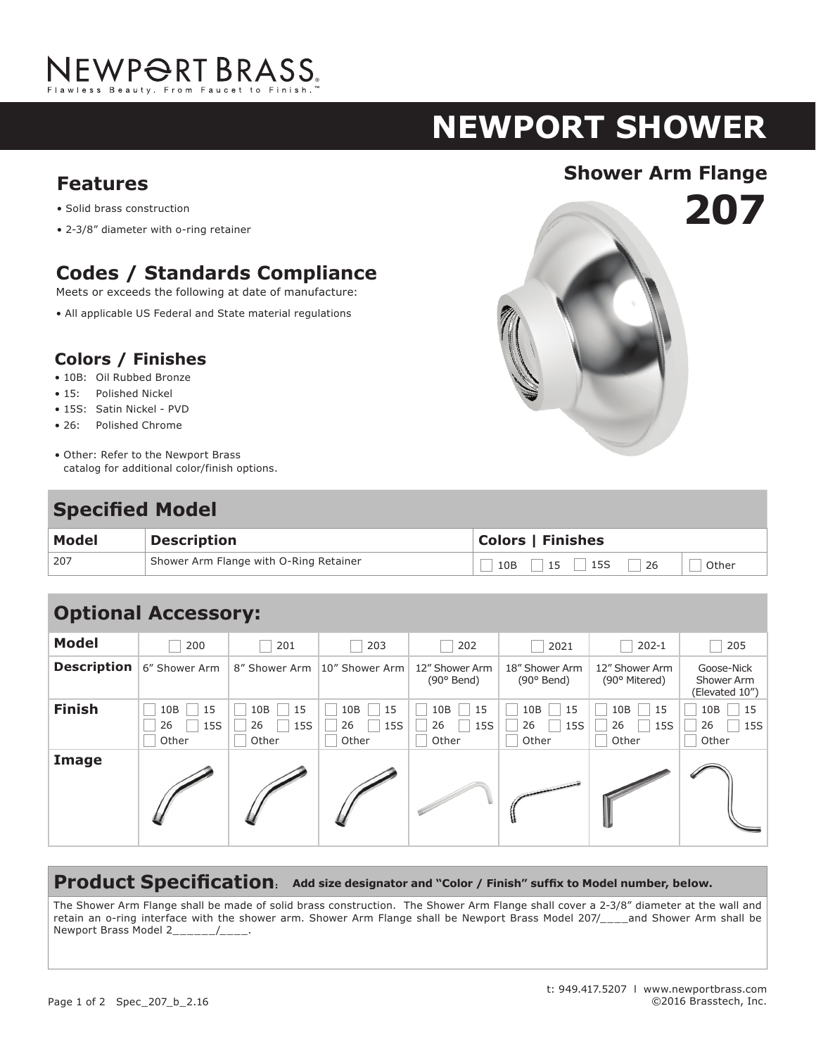

# **NEWPORT shower**

**207**

# **Shower Arm Flange Features**

- Solid brass construction
- 2-3/8" diameter with o-ring retainer

## **Codes / Standards Compliance**

Meets or exceeds the following at date of manufacture:

• All applicable US Federal and State material regulations

#### **Colors / Finishes**

- 10B: Oil Rubbed Bronze
- 15: Polished Nickel
- 15S: Satin Nickel PVD
- 26: Polished Chrome
- Other: Refer to the Newport Brass catalog for additional color/finish options.

## **Specified Model**

| Model | <b>Description</b>                     | <b>Colors   Finishes</b>        |
|-------|----------------------------------------|---------------------------------|
| 207   | Shower Arm Flange with O-Ring Retainer | 26<br>15<br>10B<br>15S<br>Other |

| <b>Optional Accessory:</b> |                                 |                                 |                                 |                                 |                                 |                                 |                                            |  |  |
|----------------------------|---------------------------------|---------------------------------|---------------------------------|---------------------------------|---------------------------------|---------------------------------|--------------------------------------------|--|--|
| <b>Model</b>               | 200                             | 201                             | 203                             | 202                             | 2021                            | $202 - 1$                       | 205                                        |  |  |
| <b>Description</b>         | 6" Shower Arm                   | 8" Shower Arm                   | 10" Shower Arm                  | 12" Shower Arm<br>$(90°$ Bend)  | 18" Shower Arm<br>$(90°$ Bend)  | 12" Shower Arm<br>(90° Mitered) | Goose-Nick<br>Shower Arm<br>(Elevated 10") |  |  |
| <b>Finish</b>              | 15<br>10B<br>26<br>15S<br>Other | 10B<br>15<br>26<br>15S<br>Other | 10B<br>15<br>26<br>15S<br>Other | 10B<br>15<br>26<br>15S<br>Other | 10B<br>15<br>26<br>15S<br>Other | 10B<br>15<br>26<br>15S<br>Other | 15<br>10B<br>26<br>15S<br>Other            |  |  |
| Image                      |                                 |                                 |                                 |                                 |                                 |                                 |                                            |  |  |

#### **Product Specification: Add size designator and "Color / Finish" suffix to Model number, below.**

The Shower Arm Flange shall be made of solid brass construction. The Shower Arm Flange shall cover a 2-3/8" diameter at the wall and retain an o-ring interface with the shower arm. Shower Arm Flange shall be Newport Brass Model 207/\_\_\_\_and Shower Arm shall be Newport Brass Model 2\_\_\_\_\_\_/\_\_\_\_.